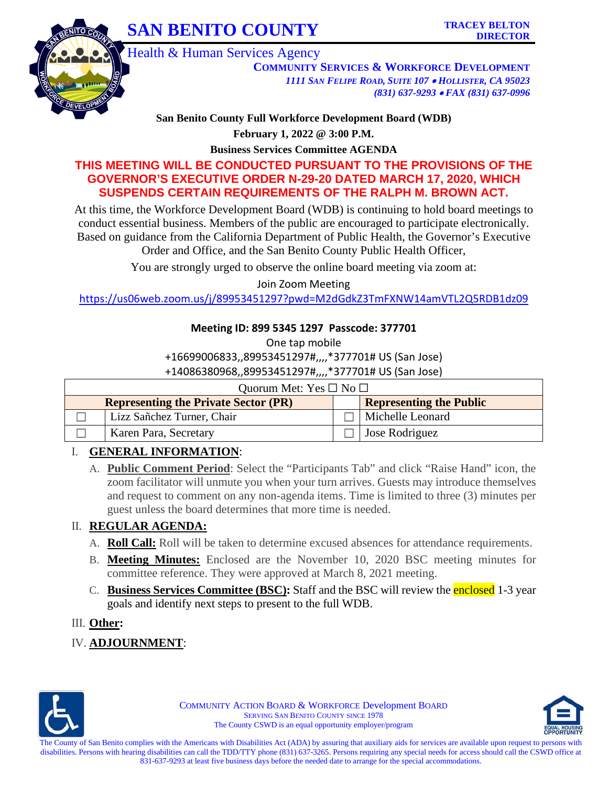# **SAN BENITO COUNTY** TRACEY BELTON



Health & Human Services Agency

**COMMUNITY SERVICES & WORKFORCE DEVELOPMENT** *1111 SAN FELIPE ROAD, SUITE 107* • *HOLLISTER, CA 95023 (831) 637-9293* • *FAX (831) 637-0996*

**San Benito County Full Workforce Development Board (WDB)**

**February 1, 2022 @ 3:00 P.M.**

**Business Services Committee AGENDA**

## **THIS MEETING WILL BE CONDUCTED PURSUANT TO THE PROVISIONS OF THE GOVERNOR'S EXECUTIVE ORDER N-29-20 DATED MARCH 17, 2020, WHICH SUSPENDS CERTAIN REQUIREMENTS OF THE RALPH M. BROWN ACT.**

At this time, the Workforce Development Board (WDB) is continuing to hold board meetings to conduct essential business. Members of the public are encouraged to participate electronically. Based on guidance from the California Department of Public Health, the Governor's Executive Order and Office, and the San Benito County Public Health Officer,

You are strongly urged to observe the online board meeting via zoom at:

Join Zoom Meeting

<https://us06web.zoom.us/j/89953451297?pwd=M2dGdkZ3TmFXNW14amVTL2Q5RDB1dz09>

### **Meeting ID: 899 5345 1297 Passcode: 377701**

One tap mobile

+16699006833,,89953451297#,,,,\*377701# US (San Jose)

+14086380968,,89953451297#,,,,\*377701# US (San Jose)

| Quorum Met: Yes $\square$ No $\square$ |                                             |  |                                |  |  |
|----------------------------------------|---------------------------------------------|--|--------------------------------|--|--|
|                                        | <b>Representing the Private Sector (PR)</b> |  | <b>Representing the Public</b> |  |  |
|                                        | Lizz Sañchez Turner, Chair                  |  | Michelle Leonard               |  |  |
|                                        | Karen Para, Secretary                       |  | Jose Rodriguez                 |  |  |

### I. **GENERAL INFORMATION**:

A. **Public Comment Period**: Select the "Participants Tab" and click "Raise Hand" icon, the zoom facilitator will unmute you when your turn arrives. Guests may introduce themselves and request to comment on any non-agenda items. Time is limited to three (3) minutes per guest unless the board determines that more time is needed.

# II. **REGULAR AGENDA:**

- A. **Roll Call:** Roll will be taken to determine excused absences for attendance requirements.
- B. **Meeting Minutes:** Enclosed are the November 10, 2020 BSC meeting minutes for committee reference. They were approved at March 8, 2021 meeting.
- C. **Business Services Committee (BSC):** Staff and the BSC will review the enclosed 1-3 year goals and identify next steps to present to the full WDB.

### III. **Other:**

IV. **ADJOURNMENT**:



COMMUNITY ACTION BOARD & WORKFORCE Development BOARD SERVING SAN BENITO COUNTY SINCE 1978 The County CSWD is an equal opportunity employer/program

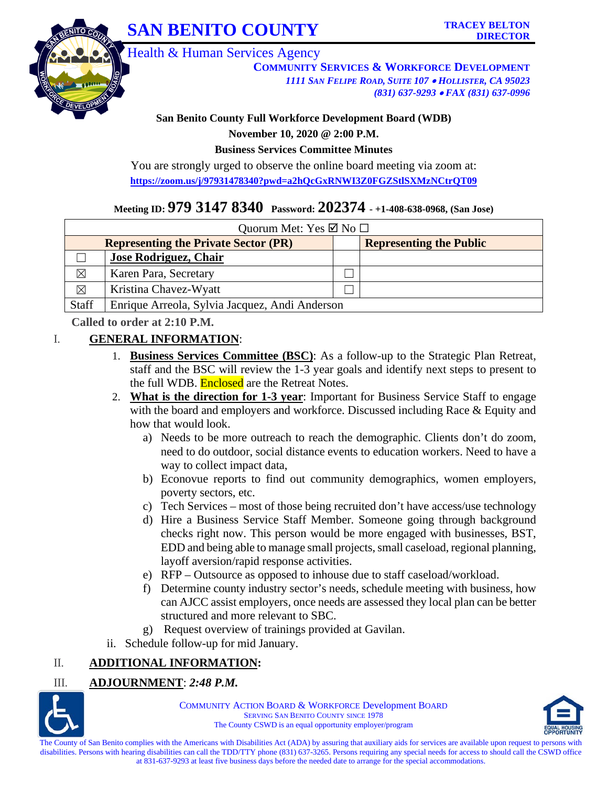



Health & Human Services Agency

**COMMUNITY SERVICES & WORKFORCE DEVELOPMENT** *1111 SAN FELIPE ROAD, SUITE 107* • *HOLLISTER, CA 95023 (831) 637-9293* • *FAX (831) 637-0996*

#### **San Benito County Full Workforce Development Board (WDB)**

**November 10, 2020 @ 2:00 P.M.**

**Business Services Committee Minutes**

You are strongly urged to observe the online board meeting via zoom at: **<https://zoom.us/j/97931478340?pwd=a2hQcGxRNWI3Z0FGZStlSXMzNCtrQT09>**

# **Meeting ID: 979 3147 8340 Password: 202374 - +1-408-638-0968, (San Jose)**

| Quorum Met: Yes $\boxtimes$ No $\square$    |                                                |  |                                |  |  |  |
|---------------------------------------------|------------------------------------------------|--|--------------------------------|--|--|--|
| <b>Representing the Private Sector (PR)</b> |                                                |  | <b>Representing the Public</b> |  |  |  |
|                                             | Jose Rodriguez, Chair                          |  |                                |  |  |  |
| $\boxtimes$                                 | Karen Para, Secretary                          |  |                                |  |  |  |
| $\boxtimes$                                 | Kristina Chavez-Wyatt                          |  |                                |  |  |  |
| Staff                                       | Enrique Arreola, Sylvia Jacquez, Andi Anderson |  |                                |  |  |  |

**Called to order at 2:10 P.M.** 

#### I. **GENERAL INFORMATION**:

- 1. **Business Services Committee (BSC)**: As a follow-up to the Strategic Plan Retreat, staff and the BSC will review the 1-3 year goals and identify next steps to present to the full WDB. **Enclosed** are the Retreat Notes.
- 2. **What is the direction for 1-3 year**: Important for Business Service Staff to engage with the board and employers and workforce. Discussed including Race & Equity and how that would look.
	- a) Needs to be more outreach to reach the demographic. Clients don't do zoom, need to do outdoor, social distance events to education workers. Need to have a way to collect impact data,
	- b) Econovue reports to find out community demographics, women employers, poverty sectors, etc.
	- c) Tech Services most of those being recruited don't have access/use technology
	- d) Hire a Business Service Staff Member. Someone going through background checks right now. This person would be more engaged with businesses, BST, EDD and being able to manage small projects, small caseload, regional planning, layoff aversion/rapid response activities.
	- e) RFP Outsource as opposed to inhouse due to staff caseload/workload.
	- f) Determine county industry sector's needs, schedule meeting with business, how can AJCC assist employers, once needs are assessed they local plan can be better structured and more relevant to SBC.
	- g) Request overview of trainings provided at Gavilan.
- ii. Schedule follow-up for mid January.

# II. **ADDITIONAL INFORMATION:**

# III. **ADJOURNMENT**: *2:48 P.M.*



COMMUNITY ACTION BOARD & WORKFORCE Development BOARD SERVING SAN BENITO COUNTY SINCE 1978 The County CSWD is an equal opportunity employer/program



The County of San Benito complies with the Americans with Disabilities Act (ADA) by assuring that auxiliary aids for services are available upon request to persons with disabilities. Persons with hearing disabilities can call the TDD/TTY phone (831) 637-3265. Persons requiring any special needs for access to should call the CSWD office at 831-637-9293 at least five business days before the needed date to arrange for the special accommodations.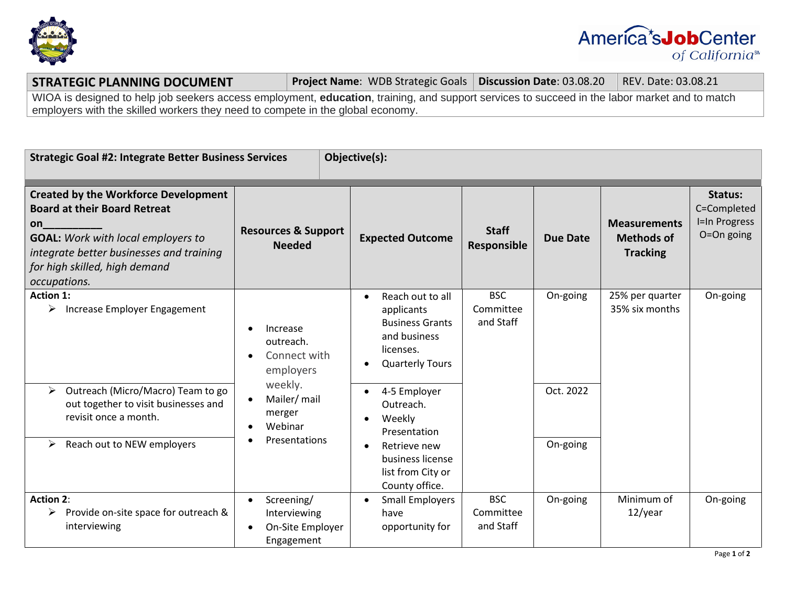



**STRATEGIC PLANNING DOCUMENT Project Name**: WDB Strategic Goals | Discussion Date: 03.08.20 REV. Date: 03.08.21

WIOA is designed to help job seekers access employment, **education**, training, and support services to succeed in the labor market and to match employers with the skilled workers they need to compete in the global economy.

| Objective(s):<br><b>Strategic Goal #2: Integrate Better Business Services</b>                                                                                                                                                      |                                                                                                                            |                                                                                                                                   |                                                                               |          |                                                             |                                                       |  |
|------------------------------------------------------------------------------------------------------------------------------------------------------------------------------------------------------------------------------------|----------------------------------------------------------------------------------------------------------------------------|-----------------------------------------------------------------------------------------------------------------------------------|-------------------------------------------------------------------------------|----------|-------------------------------------------------------------|-------------------------------------------------------|--|
| <b>Created by the Workforce Development</b><br><b>Board at their Board Retreat</b><br>on<br><b>GOAL:</b> Work with local employers to<br>integrate better businesses and training<br>for high skilled, high demand<br>occupations. | <b>Resources &amp; Support</b><br><b>Needed</b>                                                                            | <b>Expected Outcome</b>                                                                                                           | <b>Staff</b><br>Responsible                                                   | Due Date | <b>Measurements</b><br><b>Methods of</b><br><b>Tracking</b> | Status:<br>C=Completed<br>I=In Progress<br>O=On going |  |
| <b>Action 1:</b><br>Increase Employer Engagement<br>➤                                                                                                                                                                              | Increase<br>outreach.<br>Connect with<br>employers<br>weekly.<br>Mailer/ mail<br>merger<br>Webinar<br><b>Presentations</b> | Reach out to all<br>$\bullet$<br>applicants<br><b>Business Grants</b><br>and business<br>licenses.<br><b>Quarterly Tours</b><br>٠ | <b>BSC</b><br>Committee<br>and Staff                                          | On-going | 25% per quarter<br>35% six months                           | On-going                                              |  |
| Outreach (Micro/Macro) Team to go<br>➤<br>out together to visit businesses and<br>revisit once a month.                                                                                                                            |                                                                                                                            |                                                                                                                                   | 4-5 Employer<br>$\bullet$<br>Outreach.<br>Weekly<br>$\bullet$<br>Presentation |          | Oct. 2022                                                   |                                                       |  |
| Reach out to NEW employers<br>≻                                                                                                                                                                                                    |                                                                                                                            | Retrieve new<br>$\bullet$<br>business license<br>list from City or<br>County office.                                              |                                                                               | On-going |                                                             |                                                       |  |
| <b>Action 2:</b><br>Provide on-site space for outreach &<br>interviewing                                                                                                                                                           | Screening/<br>Interviewing<br>On-Site Employer<br>$\bullet$<br>Engagement                                                  | <b>Small Employers</b><br>$\bullet$<br>have<br>opportunity for                                                                    | <b>BSC</b><br>Committee<br>and Staff                                          | On-going | Minimum of<br>$12$ /year                                    | On-going                                              |  |